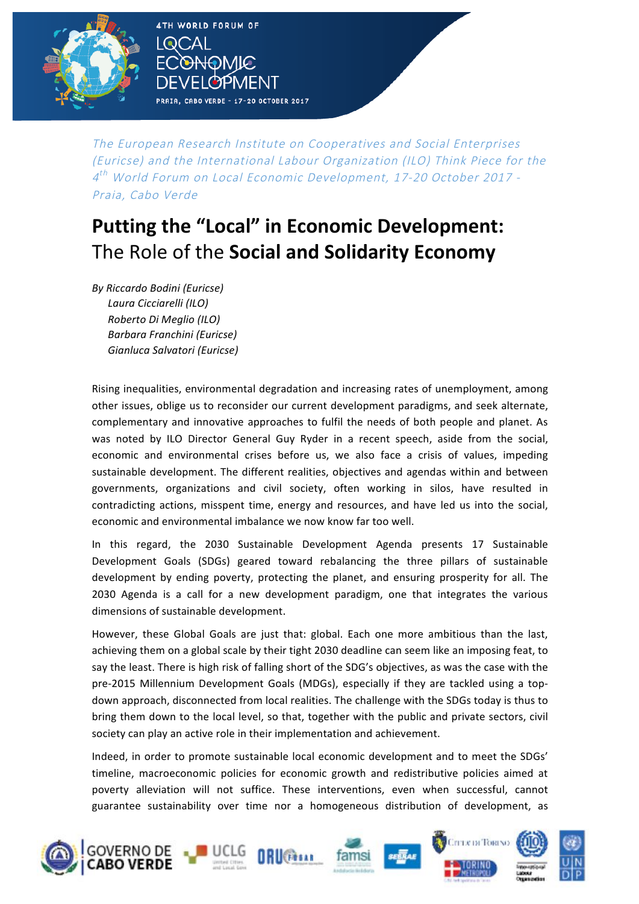

The European Research Institute on Cooperatives and Social Enterprises (Euricse) and the International Labour Organization (ILO) Think Piece for the 4 th World Forum on Local Economic Development, 17-20 October 2017 - Praia, Cabo Verde

## **Putting the "Local" in Economic Development:** The Role of the **Social and Solidarity Economy**

*By Riccardo Bodini (Euricse) Laura Cicciarelli (ILO) Roberto Di Meglio (ILO) Barbara Franchini (Euricse) Gianluca Salvatori (Euricse)*

**4TH WORLD FORUM OF** 

DMIC

PRAIA, CABO VERDE - 17-20 OCTOBER 2017

**BPMFNT** 

 $\mathsf{I}\mathsf{QCAI}$ 

Rising inequalities, environmental degradation and increasing rates of unemployment, among other issues, oblige us to reconsider our current development paradigms, and seek alternate, complementary and innovative approaches to fulfil the needs of both people and planet. As was noted by ILO Director General Guy Ryder in a recent speech, aside from the social, economic and environmental crises before us, we also face a crisis of values, impeding sustainable development. The different realities, objectives and agendas within and between governments, organizations and civil society, often working in silos, have resulted in contradicting actions, misspent time, energy and resources, and have led us into the social, economic and environmental imbalance we now know far too well.

In this regard, the 2030 Sustainable Development Agenda presents 17 Sustainable Development Goals (SDGs) geared toward rebalancing the three pillars of sustainable development by ending poverty, protecting the planet, and ensuring prosperity for all. The 2030 Agenda is a call for a new development paradigm, one that integrates the various dimensions of sustainable development.

However, these Global Goals are just that: global. Each one more ambitious than the last, achieving them on a global scale by their tight 2030 deadline can seem like an imposing feat, to say the least. There is high risk of falling short of the SDG's objectives, as was the case with the pre-2015 Millennium Development Goals (MDGs), especially if they are tackled using a topdown approach, disconnected from local realities. The challenge with the SDGs today is thus to bring them down to the local level, so that, together with the public and private sectors, civil society can play an active role in their implementation and achievement.

Indeed, in order to promote sustainable local economic development and to meet the SDGs' timeline, macroeconomic policies for economic growth and redistributive policies aimed at poverty alleviation will not suffice. These interventions, even when successful, cannot guarantee sustainability over time nor a homogeneous distribution of development, as

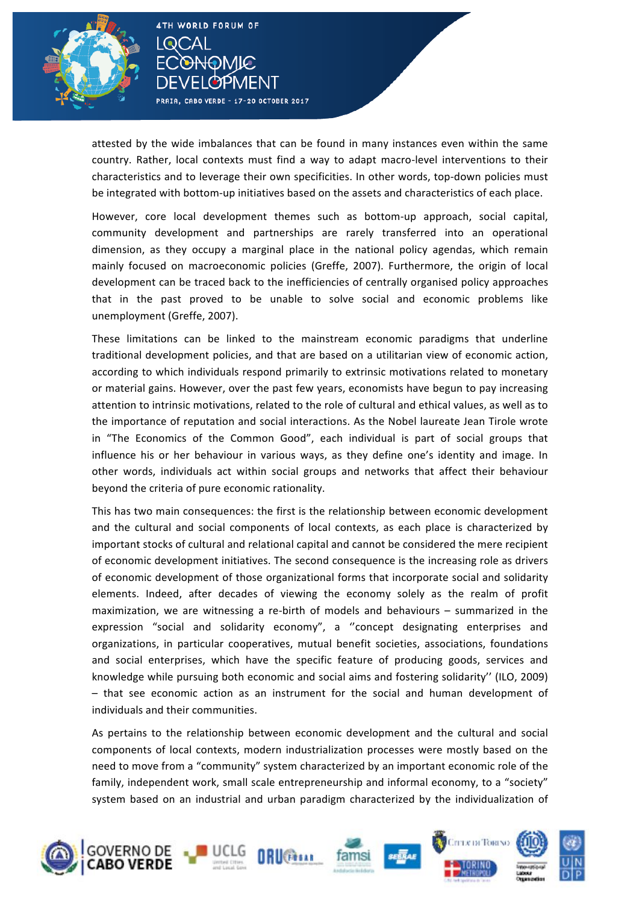

)MIC

PRAIA, CABO VERDE - 17-20 OCTOBER 2017

**PYPMENT** 

l Q(

attested by the wide imbalances that can be found in many instances even within the same country. Rather, local contexts must find a way to adapt macro-level interventions to their characteristics and to leverage their own specificities. In other words, top-down policies must be integrated with bottom-up initiatives based on the assets and characteristics of each place.

However, core local development themes such as bottom-up approach, social capital, community development and partnerships are rarely transferred into an operational dimension, as they occupy a marginal place in the national policy agendas, which remain mainly focused on macroeconomic policies (Greffe, 2007). Furthermore, the origin of local development can be traced back to the inefficiencies of centrally organised policy approaches that in the past proved to be unable to solve social and economic problems like unemployment (Greffe, 2007).

These limitations can be linked to the mainstream economic paradigms that underline traditional development policies, and that are based on a utilitarian view of economic action, according to which individuals respond primarily to extrinsic motivations related to monetary or material gains. However, over the past few years, economists have begun to pay increasing attention to intrinsic motivations, related to the role of cultural and ethical values, as well as to the importance of reputation and social interactions. As the Nobel laureate Jean Tirole wrote in "The Economics of the Common Good", each individual is part of social groups that influence his or her behaviour in various ways, as they define one's identity and image. In other words, individuals act within social groups and networks that affect their behaviour beyond the criteria of pure economic rationality.

This has two main consequences: the first is the relationship between economic development and the cultural and social components of local contexts, as each place is characterized by important stocks of cultural and relational capital and cannot be considered the mere recipient of economic development initiatives. The second consequence is the increasing role as drivers of economic development of those organizational forms that incorporate social and solidarity elements. Indeed, after decades of viewing the economy solely as the realm of profit maximization, we are witnessing a re-birth of models and behaviours – summarized in the expression "social and solidarity economy", a "concept designating enterprises and organizations, in particular cooperatives, mutual benefit societies, associations, foundations and social enterprises, which have the specific feature of producing goods, services and knowledge while pursuing both economic and social aims and fostering solidarity" (ILO, 2009) - that see economic action as an instrument for the social and human development of individuals and their communities.

As pertains to the relationship between economic development and the cultural and social components of local contexts, modern industrialization processes were mostly based on the need to move from a "community" system characterized by an important economic role of the family, independent work, small scale entrepreneurship and informal economy, to a "society" system based on an industrial and urban paradigm characterized by the individualization of

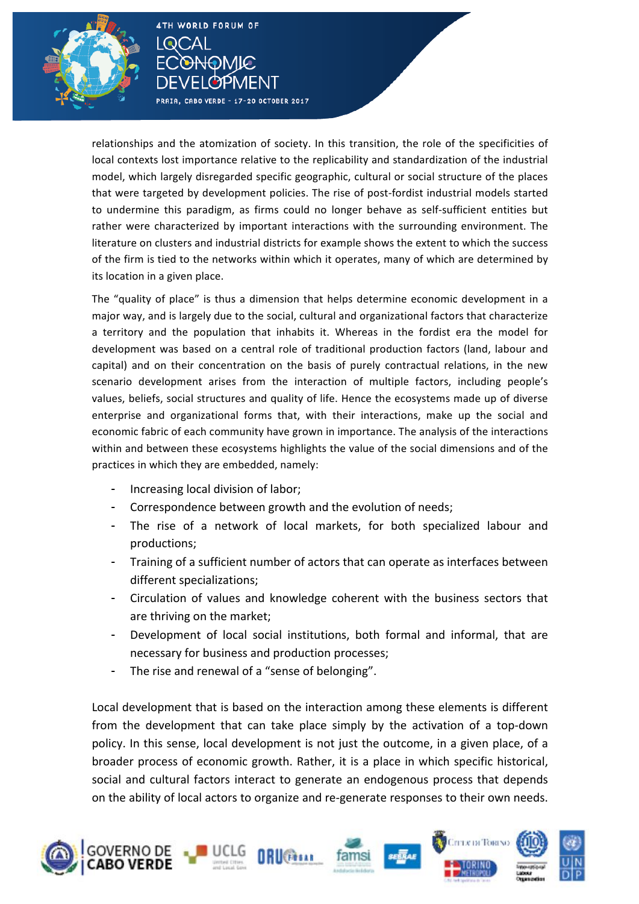

relationships and the atomization of society. In this transition, the role of the specificities of local contexts lost importance relative to the replicability and standardization of the industrial model, which largely disregarded specific geographic, cultural or social structure of the places that were targeted by development policies. The rise of post-fordist industrial models started to undermine this paradigm, as firms could no longer behave as self-sufficient entities but rather were characterized by important interactions with the surrounding environment. The literature on clusters and industrial districts for example shows the extent to which the success of the firm is tied to the networks within which it operates, many of which are determined by its location in a given place.

The "quality of place" is thus a dimension that helps determine economic development in a major way, and is largely due to the social, cultural and organizational factors that characterize a territory and the population that inhabits it. Whereas in the fordist era the model for development was based on a central role of traditional production factors (land, labour and capital) and on their concentration on the basis of purely contractual relations, in the new scenario development arises from the interaction of multiple factors, including people's values, beliefs, social structures and quality of life. Hence the ecosystems made up of diverse enterprise and organizational forms that, with their interactions, make up the social and economic fabric of each community have grown in importance. The analysis of the interactions within and between these ecosystems highlights the value of the social dimensions and of the practices in which they are embedded, namely:

Increasing local division of labor;

**4TH WORLD FORUM OF** 

)MIC

PRAIA, CABO VERDE - 17-20 OCTOBER 2017

**I** രല്

- Correspondence between growth and the evolution of needs;
- The rise of a network of local markets, for both specialized labour and productions;
- Training of a sufficient number of actors that can operate as interfaces between different specializations;
- Circulation of values and knowledge coherent with the business sectors that are thriving on the market;
- Development of local social institutions, both formal and informal, that are necessary for business and production processes;
- The rise and renewal of a "sense of belonging".

Local development that is based on the interaction among these elements is different from the development that can take place simply by the activation of a top-down policy. In this sense, local development is not just the outcome, in a given place, of a broader process of economic growth. Rather, it is a place in which specific historical, social and cultural factors interact to generate an endogenous process that depends on the ability of local actors to organize and re-generate responses to their own needs.

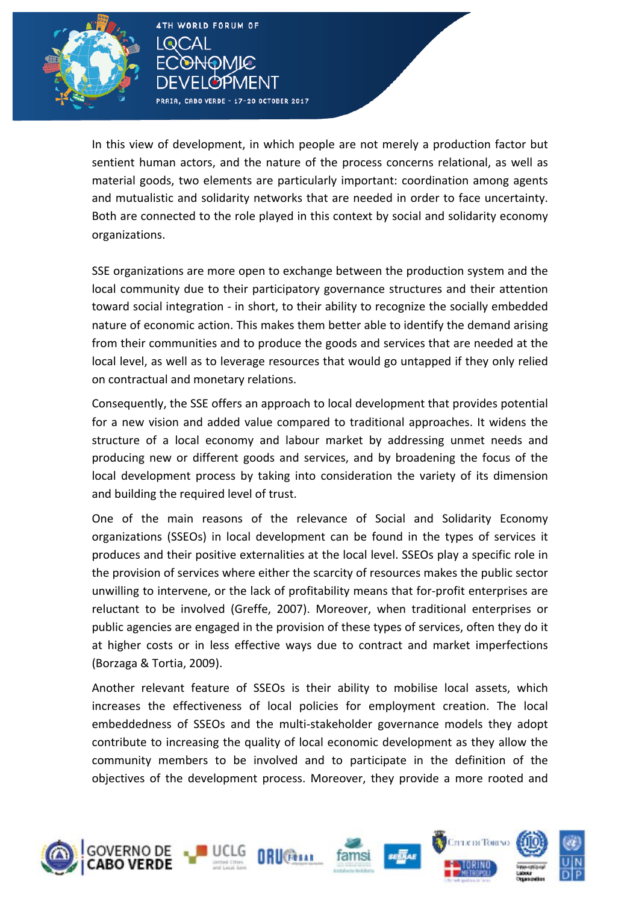

PRAIA, CABO VERDE - 17-20 OCTOBER 2017

۱Q

In this view of development, in which people are not merely a production factor but sentient human actors, and the nature of the process concerns relational, as well as material goods, two elements are particularly important: coordination among agents and mutualistic and solidarity networks that are needed in order to face uncertainty. Both are connected to the role played in this context by social and solidarity economy organizations.

SSE organizations are more open to exchange between the production system and the local community due to their participatory governance structures and their attention toward social integration - in short, to their ability to recognize the socially embedded nature of economic action. This makes them better able to identify the demand arising from their communities and to produce the goods and services that are needed at the local level, as well as to leverage resources that would go untapped if they only relied on contractual and monetary relations.

Consequently, the SSE offers an approach to local development that provides potential for a new vision and added value compared to traditional approaches. It widens the structure of a local economy and labour market by addressing unmet needs and producing new or different goods and services, and by broadening the focus of the local development process by taking into consideration the variety of its dimension and building the required level of trust.

One of the main reasons of the relevance of Social and Solidarity Economy organizations (SSEOs) in local development can be found in the types of services it produces and their positive externalities at the local level. SSEOs play a specific role in the provision of services where either the scarcity of resources makes the public sector unwilling to intervene, or the lack of profitability means that for-profit enterprises are reluctant to be involved (Greffe, 2007). Moreover, when traditional enterprises or public agencies are engaged in the provision of these types of services, often they do it at higher costs or in less effective ways due to contract and market imperfections (Borzaga & Tortia, 2009).

Another relevant feature of SSEOs is their ability to mobilise local assets, which increases the effectiveness of local policies for employment creation. The local embeddedness of SSEOs and the multi-stakeholder governance models they adopt contribute to increasing the quality of local economic development as they allow the community members to be involved and to participate in the definition of the objectives of the development process. Moreover, they provide a more rooted and

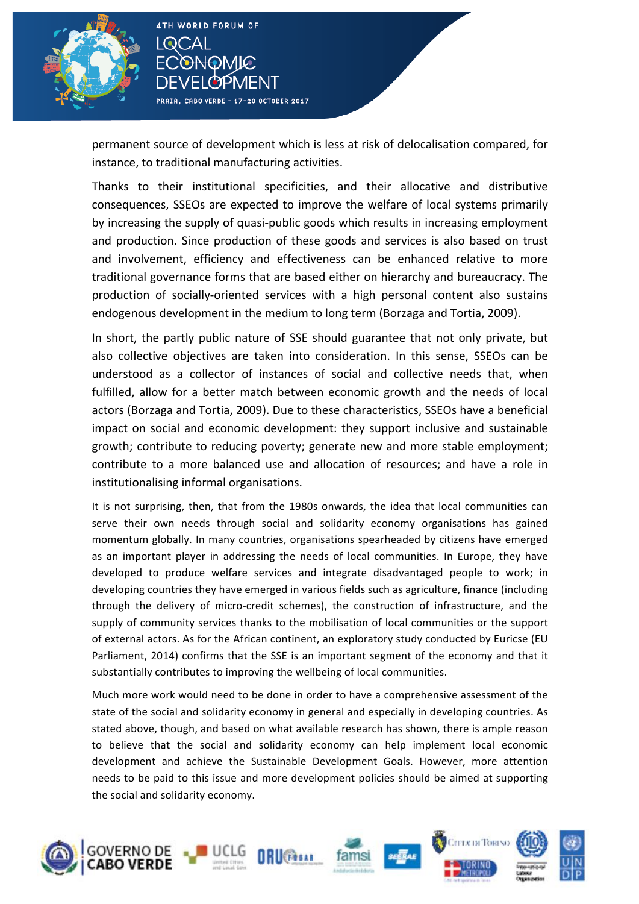

)MIନ

PRAIA, CABO VERDE - 17-20 OCTOBER 2017

١Q

permanent source of development which is less at risk of delocalisation compared, for instance, to traditional manufacturing activities.

Thanks to their institutional specificities, and their allocative and distributive consequences, SSEOs are expected to improve the welfare of local systems primarily by increasing the supply of quasi-public goods which results in increasing employment and production. Since production of these goods and services is also based on trust and involvement, efficiency and effectiveness can be enhanced relative to more traditional governance forms that are based either on hierarchy and bureaucracy. The production of socially-oriented services with a high personal content also sustains endogenous development in the medium to long term (Borzaga and Tortia, 2009).

In short, the partly public nature of SSE should guarantee that not only private, but also collective objectives are taken into consideration. In this sense, SSEOs can be understood as a collector of instances of social and collective needs that, when fulfilled, allow for a better match between economic growth and the needs of local actors (Borzaga and Tortia, 2009). Due to these characteristics, SSEOs have a beneficial impact on social and economic development: they support inclusive and sustainable growth; contribute to reducing poverty; generate new and more stable employment; contribute to a more balanced use and allocation of resources; and have a role in institutionalising informal organisations.

It is not surprising, then, that from the 1980s onwards, the idea that local communities can serve their own needs through social and solidarity economy organisations has gained momentum globally. In many countries, organisations spearheaded by citizens have emerged as an important player in addressing the needs of local communities. In Europe, they have developed to produce welfare services and integrate disadvantaged people to work; in developing countries they have emerged in various fields such as agriculture, finance (including through the delivery of micro-credit schemes), the construction of infrastructure, and the supply of community services thanks to the mobilisation of local communities or the support of external actors. As for the African continent, an exploratory study conducted by Euricse (EU Parliament, 2014) confirms that the SSE is an important segment of the economy and that it substantially contributes to improving the wellbeing of local communities.

Much more work would need to be done in order to have a comprehensive assessment of the state of the social and solidarity economy in general and especially in developing countries. As stated above, though, and based on what available research has shown, there is ample reason to believe that the social and solidarity economy can help implement local economic development and achieve the Sustainable Development Goals. However, more attention needs to be paid to this issue and more development policies should be aimed at supporting the social and solidarity economy.